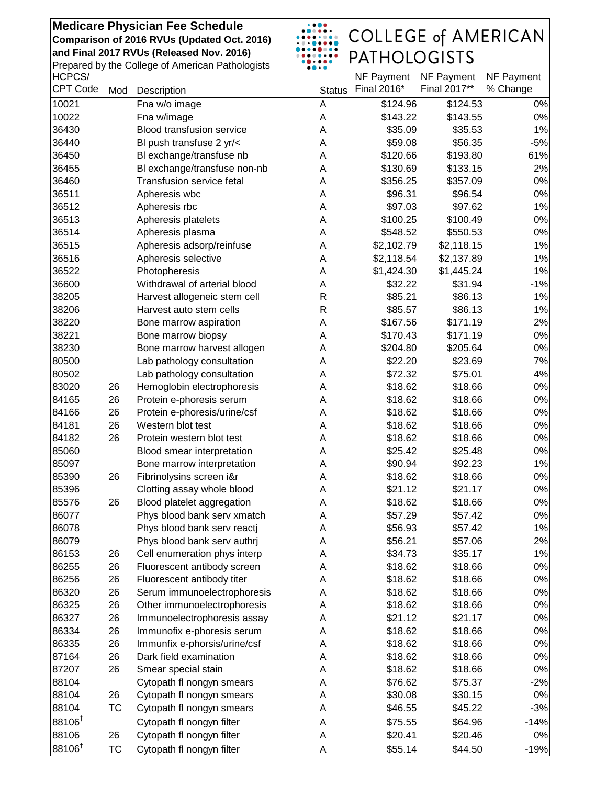HCPCS/ Prepared by the College of American Pathologists



| HCPCS/             |           |                                  |               | NF Payment  | NF Payment   | NF Payment |
|--------------------|-----------|----------------------------------|---------------|-------------|--------------|------------|
| <b>CPT Code</b>    | Mod       | Description                      | <b>Status</b> | Final 2016* | Final 2017** | % Change   |
| 10021              |           | Fna w/o image                    | A             | \$124.96    | \$124.53     | $0\%$      |
| 10022              |           | Fna w/image                      | A             | \$143.22    | \$143.55     | $0\%$      |
| 36430              |           | <b>Blood transfusion service</b> | A             | \$35.09     | \$35.53      | 1%         |
| 36440              |           | BI push transfuse 2 yr/<         | A             | \$59.08     | \$56.35      | $-5%$      |
| 36450              |           | Bl exchange/transfuse nb         | Α             | \$120.66    | \$193.80     | 61%        |
| 36455              |           | BI exchange/transfuse non-nb     | Α             | \$130.69    | \$133.15     | 2%         |
| 36460              |           | <b>Transfusion service fetal</b> | Α             | \$356.25    | \$357.09     | 0%         |
| 36511              |           | Apheresis wbc                    | Α             | \$96.31     | \$96.54      | 0%         |
| 36512              |           | Apheresis rbc                    | A             | \$97.03     | \$97.62      | 1%         |
| 36513              |           | Apheresis platelets              | A             | \$100.25    | \$100.49     | $0\%$      |
| 36514              |           | Apheresis plasma                 | A             | \$548.52    | \$550.53     | $0\%$      |
| 36515              |           | Apheresis adsorp/reinfuse        | Α             | \$2,102.79  | \$2,118.15   | 1%         |
| 36516              |           | Apheresis selective              | Α             | \$2,118.54  | \$2,137.89   | 1%         |
| 36522              |           | Photopheresis                    | Α             | \$1,424.30  | \$1,445.24   | 1%         |
| 36600              |           | Withdrawal of arterial blood     | Α             | \$32.22     | \$31.94      | $-1%$      |
| 38205              |           | Harvest allogeneic stem cell     | $\mathsf{R}$  | \$85.21     | \$86.13      | 1%         |
| 38206              |           | Harvest auto stem cells          | R             | \$85.57     | \$86.13      | 1%         |
| 38220              |           | Bone marrow aspiration           | Α             | \$167.56    | \$171.19     | 2%         |
| 38221              |           | Bone marrow biopsy               | A             | \$170.43    | \$171.19     | $0\%$      |
| 38230              |           | Bone marrow harvest allogen      | A             | \$204.80    | \$205.64     | $0\%$      |
| 80500              |           | Lab pathology consultation       | A             | \$22.20     | \$23.69      | 7%         |
| 80502              |           | Lab pathology consultation       | A             | \$72.32     | \$75.01      | 4%         |
| 83020              | 26        | Hemoglobin electrophoresis       | Α             | \$18.62     | \$18.66      | $0\%$      |
| 84165              | 26        | Protein e-phoresis serum         | Α             | \$18.62     | \$18.66      | $0\%$      |
| 84166              | 26        | Protein e-phoresis/urine/csf     | Α             | \$18.62     | \$18.66      | $0\%$      |
| 84181              | 26        | Western blot test                | Α             | \$18.62     | \$18.66      | $0\%$      |
| 84182              | 26        | Protein western blot test        | Α             | \$18.62     | \$18.66      | $0\%$      |
| 85060              |           | Blood smear interpretation       | Α             | \$25.42     | \$25.48      | 0%         |
| 85097              |           | Bone marrow interpretation       | Α             | \$90.94     | \$92.23      | 1%         |
| 85390              | 26        | Fibrinolysins screen i&r         | A             | \$18.62     | \$18.66      | $0\%$      |
| 85396              |           | Clotting assay whole blood       | A             | \$21.12     | \$21.17      | 0%         |
| 85576              | 26        | Blood platelet aggregation       | Α             | \$18.62     | \$18.66      | 0%         |
| 86077              |           | Phys blood bank serv xmatch      | Α             | \$57.29     | \$57.42      | 0%         |
| 86078              |           | Phys blood bank serv reactj      | A             | \$56.93     | \$57.42      | 1%         |
| 86079              |           | Phys blood bank serv authrj      | Α             | \$56.21     | \$57.06      | 2%         |
| 86153              | 26        | Cell enumeration phys interp     | A             | \$34.73     | \$35.17      | 1%         |
| 86255              | 26        | Fluorescent antibody screen      | A             | \$18.62     | \$18.66      | 0%         |
| 86256              | 26        | Fluorescent antibody titer       | A             | \$18.62     | \$18.66      | $0\%$      |
| 86320              | 26        | Serum immunoelectrophoresis      | Α             | \$18.62     | \$18.66      | 0%         |
| 86325              | 26        | Other immunoelectrophoresis      | Α             | \$18.62     | \$18.66      | $0\%$      |
| 86327              | 26        | Immunoelectrophoresis assay      | Α             | \$21.12     | \$21.17      | $0\%$      |
| 86334              | 26        | Immunofix e-phoresis serum       | Α             | \$18.62     | \$18.66      | $0\%$      |
| 86335              | 26        | Immunfix e-phorsis/urine/csf     | Α             | \$18.62     | \$18.66      | $0\%$      |
| 87164              | 26        | Dark field examination           | A             | \$18.62     | \$18.66      | $0\%$      |
| 87207              | 26        | Smear special stain              | Α             | \$18.62     | \$18.66      | 0%         |
| 88104              |           | Cytopath fl nongyn smears        | Α             | \$76.62     | \$75.37      | $-2%$      |
| 88104              | 26        | Cytopath fl nongyn smears        | Α             | \$30.08     | \$30.15      | 0%         |
| 88104              | ТC        | Cytopath fl nongyn smears        | Α             | \$46.55     | \$45.22      | $-3%$      |
| 88106 <sup>†</sup> |           | Cytopath fl nongyn filter        | A             | \$75.55     | \$64.96      | $-14%$     |
| 88106              | 26        | Cytopath fl nongyn filter        | Α             | \$20.41     | \$20.46      | 0%         |
|                    |           |                                  |               |             |              |            |
| 88106 <sup>t</sup> | <b>TC</b> | Cytopath fl nongyn filter        | Α             | \$55.14     | \$44.50      | $-19%$     |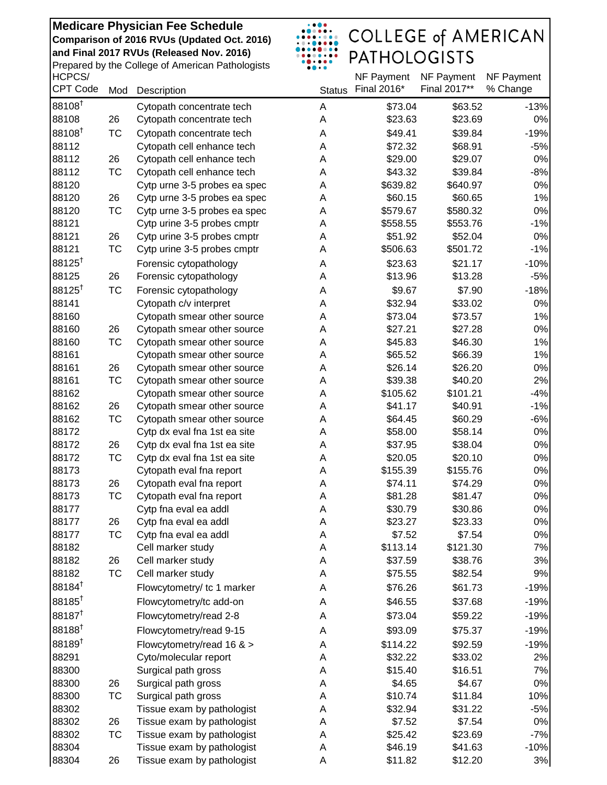Prepared by the College of American Pathologists

# $\begin{array}{|c|c|} \hline . & . & . & . & . \\ \hline . & . & . & . & . & . \\ \hline . & . & . & . & . & . \\ \hline . & . & . & . & . & . \\ \hline . & . & . & . & . & . \\ \hline . & . & . & . & . & . \\ \hline . & . & . & . & . & . \\ \hline . & . & . & . & . & . \\ \hline . & . & . & . & . & . \\ \hline . & . & . & . & . & . \\ \hline . & . & . & . & . & . \\ \hline . & . & . & . & . & . \\ \hline . & . & . & . & . & . \\ \hline . & . & . & . & . & . \\ \$ COLLEGE of AMERICAN<br>PATHOLOGISTS

| HCPCS/             |           |                              |               | NF Payment          | NF Payment         | NF Payment      |
|--------------------|-----------|------------------------------|---------------|---------------------|--------------------|-----------------|
| <b>CPT Code</b>    | Mod       | Description                  | <b>Status</b> | Final 2016*         | Final 2017**       | % Change        |
| 88108              |           | Cytopath concentrate tech    | A             | \$73.04             | \$63.52            | $-13%$          |
| 88108              | 26        | Cytopath concentrate tech    | Α             | \$23.63             | \$23.69            | 0%              |
| 88108 <sup>+</sup> | <b>TC</b> | Cytopath concentrate tech    | Α             | \$49.41             | \$39.84            | $-19%$          |
| 88112              |           | Cytopath cell enhance tech   | A             | \$72.32             | \$68.91            | $-5%$           |
| 88112              | 26        | Cytopath cell enhance tech   | A             | \$29.00             | \$29.07            | $0\%$           |
| 88112              | TC        | Cytopath cell enhance tech   | Α             | \$43.32             | \$39.84            | $-8%$           |
| 88120              |           | Cytp urne 3-5 probes ea spec | Α             | \$639.82            | \$640.97           | $0\%$           |
| 88120              | 26        | Cytp urne 3-5 probes ea spec | Α             | \$60.15             | \$60.65            | 1%              |
| 88120              | TC        | Cytp urne 3-5 probes ea spec | Α             | \$579.67            | \$580.32           | $0\%$           |
| 88121              |           | Cytp urine 3-5 probes cmptr  | Α             | \$558.55            | \$553.76           | $-1%$           |
| 88121              | 26        | Cytp urine 3-5 probes cmptr  | Α             | \$51.92             | \$52.04            | $0\%$           |
| 88121              | TC        | Cytp urine 3-5 probes cmptr  | Α             | \$506.63            | \$501.72           | $-1%$           |
| $88125^{\dagger}$  |           | Forensic cytopathology       | Α             | \$23.63             | \$21.17            | $-10%$          |
| 88125              | 26        | Forensic cytopathology       | A             | \$13.96             | \$13.28            | $-5%$           |
| 88125 <sup>†</sup> | <b>TC</b> | Forensic cytopathology       | Α             | \$9.67              | \$7.90             | $-18%$          |
| 88141              |           | Cytopath c/v interpret       | A             | \$32.94             | \$33.02            | $0\%$           |
| 88160              |           | Cytopath smear other source  | Α             | \$73.04             | \$73.57            | 1%              |
| 88160              | 26        | Cytopath smear other source  | Α             | \$27.21             | \$27.28            | $0\%$           |
| 88160              | TC        | Cytopath smear other source  | A             | \$45.83             | \$46.30            | 1%              |
| 88161              |           | Cytopath smear other source  | Α             | \$65.52             | \$66.39            | 1%              |
| 88161              | 26        | Cytopath smear other source  | Α             | \$26.14             | \$26.20            | 0%              |
| 88161              | TC        | Cytopath smear other source  | Α             | \$39.38             | \$40.20            | 2%              |
| 88162              |           | Cytopath smear other source  | Α             | \$105.62            | \$101.21           | $-4%$           |
| 88162              | 26        | Cytopath smear other source  | A             | \$41.17             | \$40.91            | $-1%$           |
| 88162              | TC        | Cytopath smear other source  | A             | \$64.45             | \$60.29            | $-6%$           |
| 88172              |           | Cytp dx eval fna 1st ea site | A             | \$58.00             | \$58.14            | $0\%$           |
| 88172              | 26        | Cytp dx eval fna 1st ea site | A             | \$37.95             | \$38.04            | $0\%$           |
| 88172              | TC        | Cytp dx eval fna 1st ea site | Α             | \$20.05             | \$20.10            | $0\%$           |
| 88173              |           | Cytopath eval fna report     | Α             | \$155.39            | \$155.76           | $0\%$           |
| 88173              | 26        | Cytopath eval fna report     | Α             | \$74.11             | \$74.29            | $0\%$           |
| 88173              | <b>TC</b> | Cytopath eval fna report     | Α             | \$81.28             | \$81.47            | $0\%$           |
| 88177              |           | Cytp fna eval ea addl        | Α             | \$30.79             | \$30.86            | $0\%$           |
| 88177              | 26        | Cytp fna eval ea addl        | A             | \$23.27             | \$23.33            | 0%              |
| 88177              | TC        | Cytp fna eval ea addl        | А             | \$7.52              | \$7.54             | $0\%$           |
| 88182              |           | Cell marker study            | Α             | \$113.14            | \$121.30           | 7%              |
| 88182              | 26        | Cell marker study            | Α             | \$37.59             | \$38.76            | 3%              |
| 88182              | TC        | Cell marker study            | Α             | \$75.55             | \$82.54            | 9%              |
| 88184 <sup>t</sup> |           | Flowcytometry/ tc 1 marker   | Α             | \$76.26             | \$61.73            | $-19%$          |
| 88185              |           | Flowcytometry/tc add-on      | Α             | \$46.55             | \$37.68            | $-19%$          |
| 88187 <sup>t</sup> |           | Flowcytometry/read 2-8       | Α             | \$73.04             | \$59.22            | $-19%$          |
| 88188 <sup>t</sup> |           | Flowcytometry/read 9-15      | Α             | \$93.09             | \$75.37            | $-19%$          |
| 88189 <sup>t</sup> |           |                              |               |                     |                    |                 |
| 88291              |           | Flowcytometry/read 16 & >    | Α<br>A        | \$114.22<br>\$32.22 | \$92.59<br>\$33.02 | $-19%$          |
| 88300              |           | Cyto/molecular report        |               |                     |                    | 2%              |
|                    |           | Surgical path gross          | A             | \$15.40             | \$16.51            | 7%<br>$0\%$     |
| 88300              | 26        | Surgical path gross          | Α             | \$4.65              | \$4.67             |                 |
| 88300              | TC        | Surgical path gross          | Α             | \$10.74             | \$11.84            | 10%             |
| 88302              |           | Tissue exam by pathologist   | Α             | \$32.94             | \$31.22            | $-5%$           |
| 88302              | 26        | Tissue exam by pathologist   | Α             | \$7.52              | \$7.54             | $0\%$           |
| 88302<br>88304     | TC        | Tissue exam by pathologist   | Α             | \$25.42<br>\$46.19  | \$23.69            | $-7%$<br>$-10%$ |
|                    |           | Tissue exam by pathologist   | Α             |                     | \$41.63            |                 |
| 88304              | 26        | Tissue exam by pathologist   | Α             | \$11.82             | \$12.20            | 3%              |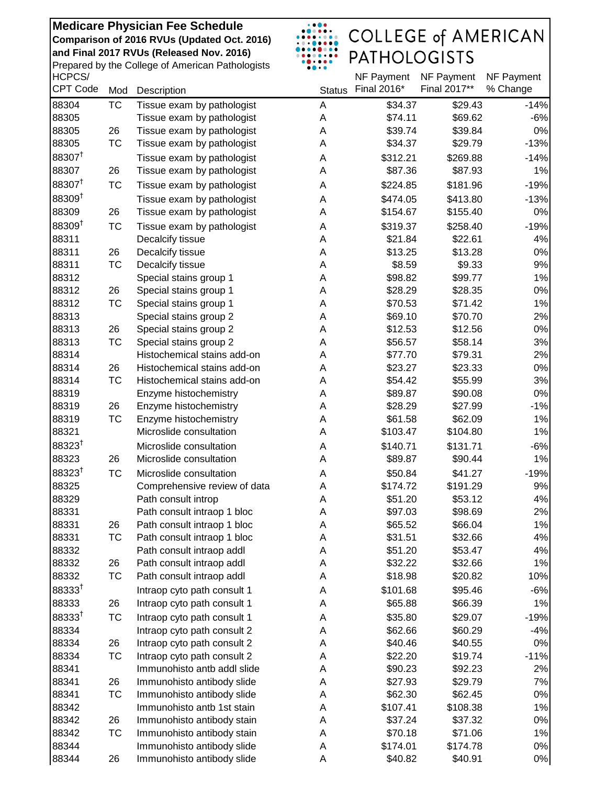HCPCS/ Prepared by the College of American Pathologists

# $\begin{array}{|c|c|} \hline . & . & . & . & . \\ \hline . & . & . & . & . & . \\ \hline . & . & . & . & . & . \\ \hline . & . & . & . & . & . \\ \hline . & . & . & . & . & . \\ \hline . & . & . & . & . & . \\ \hline . & . & . & . & . & . \\ \hline . & . & . & . & . & . \\ \hline . & . & . & . & . & . \\ \hline . & . & . & . & . & . \\ \hline . & . & . & . & . & . \\ \hline . & . & . & . & . & . \\ \hline . & . & . & . & . & . \\ \hline . & . & . & . & . & . \\ \$ COLLEGE of AMERICAN<br>PATHOLOGISTS

| HCPCS/             |           |                              |               | NF Payment  | NF Payment   | NF Payment |
|--------------------|-----------|------------------------------|---------------|-------------|--------------|------------|
| <b>CPT Code</b>    | Mod       | Description                  | <b>Status</b> | Final 2016* | Final 2017** | % Change   |
| 88304              | <b>TC</b> | Tissue exam by pathologist   | A             | \$34.37     | \$29.43      | $-14%$     |
| 88305              |           | Tissue exam by pathologist   | A             | \$74.11     | \$69.62      | $-6%$      |
| 88305              | 26        | Tissue exam by pathologist   | Α             | \$39.74     | \$39.84      | $0\%$      |
| 88305              | TC        | Tissue exam by pathologist   | Α             | \$34.37     | \$29.79      | $-13%$     |
| 88307 <sup>t</sup> |           | Tissue exam by pathologist   | Α             | \$312.21    | \$269.88     | $-14%$     |
| 88307              | 26        | Tissue exam by pathologist   | Α             | \$87.36     | \$87.93      | 1%         |
| 88307 <sup>t</sup> | <b>TC</b> | Tissue exam by pathologist   | Α             | \$224.85    | \$181.96     | $-19%$     |
| $88309^{+}$        |           | Tissue exam by pathologist   | A             | \$474.05    | \$413.80     | $-13%$     |
| 88309              | 26        | Tissue exam by pathologist   | A             | \$154.67    | \$155.40     | $0\%$      |
| 88309 <sup>t</sup> | <b>TC</b> | Tissue exam by pathologist   | Α             | \$319.37    | \$258.40     | $-19%$     |
| 88311              |           | Decalcify tissue             | Α             | \$21.84     | \$22.61      | 4%         |
| 88311              | 26        | Decalcify tissue             | Α             | \$13.25     | \$13.28      | $0\%$      |
| 88311              | <b>TC</b> | Decalcify tissue             | Α             | \$8.59      | \$9.33       | 9%         |
| 88312              |           | Special stains group 1       | Α             | \$98.82     | \$99.77      | 1%         |
| 88312              | 26        | Special stains group 1       | Α             | \$28.29     | \$28.35      | $0\%$      |
| 88312              | TC        | Special stains group 1       | Α             | \$70.53     | \$71.42      | 1%         |
| 88313              |           | Special stains group 2       | Α             | \$69.10     | \$70.70      | 2%         |
| 88313              | 26        | Special stains group 2       | Α             | \$12.53     | \$12.56      | $0\%$      |
| 88313              | TC        | Special stains group 2       | Α             | \$56.57     | \$58.14      | 3%         |
| 88314              |           | Histochemical stains add-on  | Α             | \$77.70     | \$79.31      | 2%         |
| 88314              | 26        | Histochemical stains add-on  | Α             | \$23.27     | \$23.33      | $0\%$      |
| 88314              | <b>TC</b> | Histochemical stains add-on  | Α             | \$54.42     | \$55.99      | 3%         |
| 88319              |           | Enzyme histochemistry        | Α             | \$89.87     | \$90.08      | $0\%$      |
| 88319              | 26        | Enzyme histochemistry        | Α             | \$28.29     | \$27.99      | $-1%$      |
| 88319              | <b>TC</b> | Enzyme histochemistry        | Α             | \$61.58     | \$62.09      | 1%         |
| 88321              |           | Microslide consultation      | Α             | \$103.47    | \$104.80     | 1%         |
| 88323 <sup>t</sup> |           | Microslide consultation      | A             | \$140.71    | \$131.71     | $-6%$      |
| 88323              | 26        | Microslide consultation      | A             | \$89.87     | \$90.44      | 1%         |
| $88323^{†}$        |           |                              |               |             |              |            |
|                    | <b>TC</b> | Microslide consultation      | A             | \$50.84     | \$41.27      | $-19%$     |
| 88325              |           | Comprehensive review of data | Α             | \$174.72    | \$191.29     | 9%         |
| 88329              |           | Path consult introp          | Α             | \$51.20     | \$53.12      | 4%         |
| 88331              |           | Path consult intraop 1 bloc  | A             | \$97.03     | \$98.69      | 2%         |
| 88331              | 26        | Path consult intraop 1 bloc  | Α             | \$65.52     | \$66.04      | 1%         |
| 88331              | ТC        | Path consult intraop 1 bloc  | Α             | \$31.51     | \$32.66      | 4%         |
| 88332              |           | Path consult intraop addl    | Α             | \$51.20     | \$53.47      | 4%         |
| 88332              | 26        | Path consult intraop addl    | Α             | \$32.22     | \$32.66      | 1%         |
| 88332              | ТC        | Path consult intraop addl    | Α             | \$18.98     | \$20.82      | 10%        |
| $88333^{†}$        |           | Intraop cyto path consult 1  | Α             | \$101.68    | \$95.46      | $-6%$      |
| 88333              | 26        | Intraop cyto path consult 1  | A             | \$65.88     | \$66.39      | 1%         |
| $88333^{†}$        | <b>TC</b> | Intraop cyto path consult 1  | Α             | \$35.80     | \$29.07      | $-19%$     |
| 88334              |           | Intraop cyto path consult 2  | Α             | \$62.66     | \$60.29      | $-4%$      |
| 88334              | 26        | Intraop cyto path consult 2  | Α             | \$40.46     | \$40.55      | $0\%$      |
| 88334              | TC        | Intraop cyto path consult 2  | Α             | \$22.20     | \$19.74      | $-11%$     |
| 88341              |           | Immunohisto antb addl slide  | Α             | \$90.23     | \$92.23      | 2%         |
| 88341              | 26        | Immunohisto antibody slide   | Α             | \$27.93     | \$29.79      | 7%         |
| 88341              | <b>TC</b> | Immunohisto antibody slide   | Α             | \$62.30     | \$62.45      | $0\%$      |
| 88342              |           | Immunohisto antb 1st stain   | Α             | \$107.41    | \$108.38     | 1%         |
| 88342              | 26        | Immunohisto antibody stain   | Α             | \$37.24     | \$37.32      | 0%         |
| 88342              | ТC        | Immunohisto antibody stain   | Α             | \$70.18     | \$71.06      | $1\%$      |
| 88344              |           | Immunohisto antibody slide   | A             | \$174.01    | \$174.78     | $0\%$      |
| 88344              | 26        | Immunohisto antibody slide   | Α             | \$40.82     | \$40.91      | 0%         |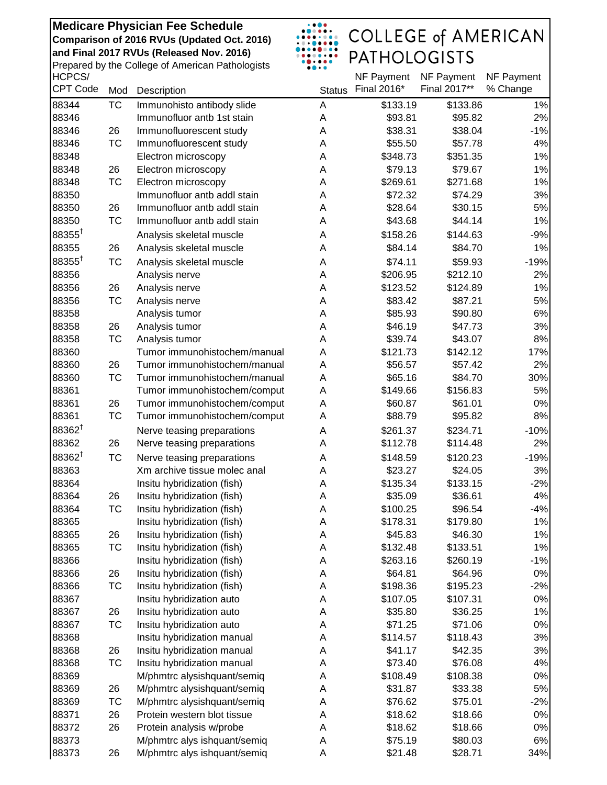HCPCS/ Prepared by the College of American Pathologists

## $\begin{array}{|c|c|} \hline & . & . & . & . \\ \hline & . & . & . & . & . \\ \hline & . & . & . & . & . & . \\ \hline & . & . & . & . & . & . \\ \hline & . & . & . & . & . & . \\ \hline & . & . & . & . & . & . \\ \hline & . & . & . & . & . & . \\ \hline & . & . & . & . & . & . \\ \hline & . & . & . & . & . & . \\ \hline \end{array}$ COLLEGE of AMERICAN<br>PATHOLOGISTS

| <b>HCPCS/</b>      |           |                              |               | NF Payment  | NF Payment   | NF Payment |
|--------------------|-----------|------------------------------|---------------|-------------|--------------|------------|
| <b>CPT Code</b>    | Mod       | Description                  | <b>Status</b> | Final 2016* | Final 2017** | % Change   |
| 88344              | <b>TC</b> | Immunohisto antibody slide   | A             | \$133.19    | \$133.86     | 1%         |
| 88346              |           | Immunofluor antb 1st stain   | A             | \$93.81     | \$95.82      | 2%         |
| 88346              | 26        | Immunofluorescent study      | А             | \$38.31     | \$38.04      | $-1%$      |
| 88346              | TC        | Immunofluorescent study      | A             | \$55.50     | \$57.78      | 4%         |
| 88348              |           | Electron microscopy          | A             | \$348.73    | \$351.35     | 1%         |
| 88348              | 26        | Electron microscopy          | Α             | \$79.13     | \$79.67      | 1%         |
| 88348              | TC        | Electron microscopy          | A             | \$269.61    | \$271.68     | 1%         |
| 88350              |           | Immunofluor antb addl stain  | A             | \$72.32     | \$74.29      | 3%         |
| 88350              | 26        | Immunofluor antb addl stain  | A             | \$28.64     | \$30.15      | 5%         |
| 88350              | <b>TC</b> | Immunofluor antb addl stain  | A             | \$43.68     | \$44.14      | 1%         |
| $88355^{\dagger}$  |           | Analysis skeletal muscle     | A             | \$158.26    | \$144.63     | $-9%$      |
| 88355              | 26        | Analysis skeletal muscle     | A             | \$84.14     | \$84.70      | 1%         |
| 88355 <sup>+</sup> | <b>TC</b> | Analysis skeletal muscle     | A             | \$74.11     | \$59.93      | $-19%$     |
| 88356              |           | Analysis nerve               | A             | \$206.95    | \$212.10     | 2%         |
| 88356              | 26        | Analysis nerve               | A             | \$123.52    | \$124.89     | 1%         |
| 88356              | <b>TC</b> | Analysis nerve               | A             | \$83.42     | \$87.21      | 5%         |
| 88358              |           | Analysis tumor               | Α             | \$85.93     | \$90.80      | 6%         |
| 88358              | 26        | Analysis tumor               | Α             | \$46.19     | \$47.73      | 3%         |
| 88358              | TC        | Analysis tumor               | Α             | \$39.74     | \$43.07      | 8%         |
| 88360              |           | Tumor immunohistochem/manual | A             | \$121.73    | \$142.12     | 17%        |
| 88360              | 26        | Tumor immunohistochem/manual | A             | \$56.57     | \$57.42      | 2%         |
| 88360              | <b>TC</b> | Tumor immunohistochem/manual | A             | \$65.16     | \$84.70      | 30%        |
| 88361              |           | Tumor immunohistochem/comput | A             | \$149.66    | \$156.83     | 5%         |
| 88361              | 26        | Tumor immunohistochem/comput | Α             | \$60.87     | \$61.01      | $0\%$      |
| 88361              | <b>TC</b> | Tumor immunohistochem/comput | Α             | \$88.79     | \$95.82      | 8%         |
| 88362 <sup>†</sup> |           | Nerve teasing preparations   | A             | \$261.37    | \$234.71     | $-10%$     |
| 88362              | 26        | Nerve teasing preparations   | A             | \$112.78    | \$114.48     | 2%         |
| 88362 <sup>+</sup> | <b>TC</b> | Nerve teasing preparations   | A             | \$148.59    | \$120.23     | $-19%$     |
| 88363              |           | Xm archive tissue molec anal | A             | \$23.27     | \$24.05      | 3%         |
| 88364              |           | Insitu hybridization (fish)  | A             | \$135.34    | \$133.15     | $-2%$      |
| 88364              | 26        | Insitu hybridization (fish)  | Α             | \$35.09     | \$36.61      | 4%         |
| 88364              | <b>TC</b> | Insitu hybridization (fish)  | Α             | \$100.25    | \$96.54      | $-4%$      |
| 88365              |           | Insitu hybridization (fish)  | Α             | \$178.31    | \$179.80     | 1%         |
| 88365              | 26        | Insitu hybridization (fish)  | Α             | \$45.83     | \$46.30      | 1%         |
| 88365              | ТC        | Insitu hybridization (fish)  | Α             | \$132.48    | \$133.51     | 1%         |
| 88366              |           | Insitu hybridization (fish)  | Α             | \$263.16    | \$260.19     | $-1%$      |
| 88366              | 26        | Insitu hybridization (fish)  | Α             | \$64.81     | \$64.96      | $0\%$      |
| 88366              | TC        | Insitu hybridization (fish)  | Α             | \$198.36    | \$195.23     | $-2%$      |
| 88367              |           | Insitu hybridization auto    | Α             | \$107.05    | \$107.31     | $0\%$      |
| 88367              | 26        | Insitu hybridization auto    | Α             | \$35.80     | \$36.25      | 1%         |
| 88367              | ТC        | Insitu hybridization auto    | Α             | \$71.25     | \$71.06      | 0%         |
| 88368              |           | Insitu hybridization manual  | Α             | \$114.57    | \$118.43     | 3%         |
| 88368              | 26        | Insitu hybridization manual  | Α             | \$41.17     | \$42.35      | 3%         |
| 88368              | TC        | Insitu hybridization manual  | Α             | \$73.40     | \$76.08      | 4%         |
| 88369              |           | M/phmtrc alysishquant/semiq  | А             | \$108.49    | \$108.38     | $0\%$      |
| 88369              | 26        | M/phmtrc alysishquant/semiq  | Α             | \$31.87     | \$33.38      | 5%         |
| 88369              | ТC        | M/phmtrc alysishquant/semiq  | Α             | \$76.62     | \$75.01      | $-2%$      |
| 88371              | 26        | Protein western blot tissue  | Α             | \$18.62     | \$18.66      | $0\%$      |
| 88372              | 26        | Protein analysis w/probe     | Α             | \$18.62     | \$18.66      | $0\%$      |
| 88373              |           | M/phmtrc alys ishquant/semiq | Α             | \$75.19     | \$80.03      | 6%         |
| 88373              | 26        | M/phmtrc alys ishquant/semiq | Α             | \$21.48     | \$28.71      | 34%        |
|                    |           |                              |               |             |              |            |